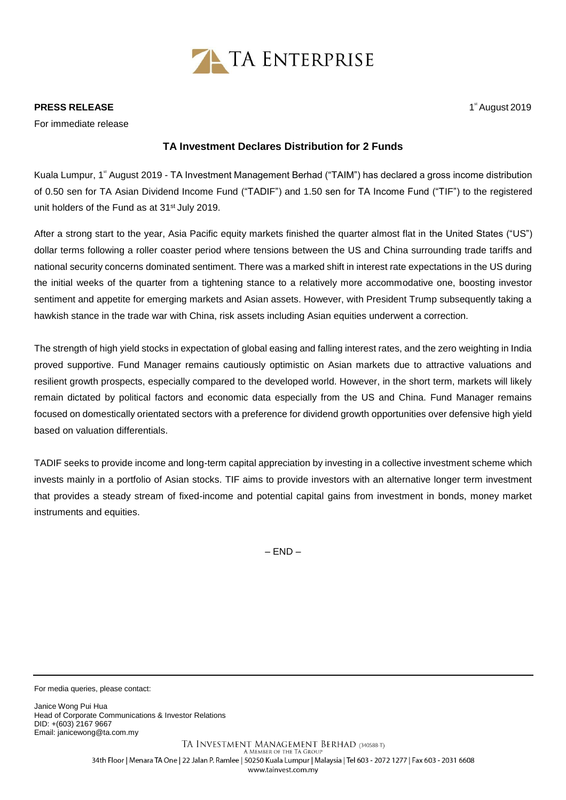

## **PRESS RELEASE**

For immediate release

## **TA Investment Declares Distribution for 2 Funds**

Kuala Lumpur, 1<sup>ª</sup> August 2019 - TA Investment Management Berhad ("TAIM") has declared a gross income distribution of 0.50 sen for TA Asian Dividend Income Fund ("TADIF") and 1.50 sen for TA Income Fund ("TIF") to the registered unit holders of the Fund as at 31<sup>st</sup> July 2019.

After a strong start to the year, Asia Pacific equity markets finished the quarter almost flat in the United States ("US") dollar terms following a roller coaster period where tensions between the US and China surrounding trade tariffs and national security concerns dominated sentiment. There was a marked shift in interest rate expectations in the US during the initial weeks of the quarter from a tightening stance to a relatively more accommodative one, boosting investor sentiment and appetite for emerging markets and Asian assets. However, with President Trump subsequently taking a hawkish stance in the trade war with China, risk assets including Asian equities underwent a correction.

The strength of high yield stocks in expectation of global easing and falling interest rates, and the zero weighting in India proved supportive. Fund Manager remains cautiously optimistic on Asian markets due to attractive valuations and resilient growth prospects, especially compared to the developed world. However, in the short term, markets will likely remain dictated by political factors and economic data especially from the US and China. Fund Manager remains focused on domestically orientated sectors with a preference for dividend growth opportunities over defensive high yield based on valuation differentials.

TADIF seeks to provide income and long-term capital appreciation by investing in a collective investment scheme which invests mainly in a portfolio of Asian stocks. TIF aims to provide investors with an alternative longer term investment that provides a steady stream of fixed-income and potential capital gains from investment in bonds, money market instruments and equities.

– END –

For media queries, please contact:

Janice Wong Pui Hua Head of Corporate Communications & Investor Relations DID: +(603) 2167 9667 Email[: janicewong@ta.com.my](mailto:janicewong@ta.com.my)